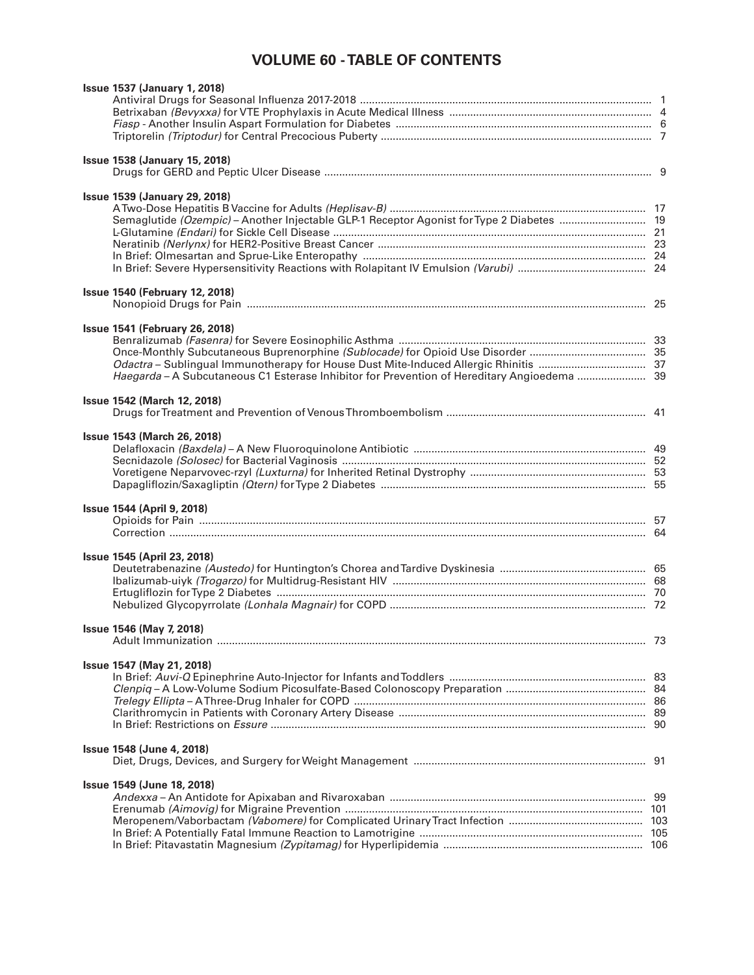## **VOLUME 60 - TABLE OF CONTENTS**

| <b>Issue 1537 (January 1, 2018)</b>                                                         |  |
|---------------------------------------------------------------------------------------------|--|
|                                                                                             |  |
|                                                                                             |  |
|                                                                                             |  |
|                                                                                             |  |
| <b>Issue 1538 (January 15, 2018)</b>                                                        |  |
|                                                                                             |  |
|                                                                                             |  |
| <b>Issue 1539 (January 29, 2018)</b>                                                        |  |
|                                                                                             |  |
|                                                                                             |  |
|                                                                                             |  |
|                                                                                             |  |
|                                                                                             |  |
|                                                                                             |  |
| <b>Issue 1540 (February 12, 2018)</b>                                                       |  |
|                                                                                             |  |
|                                                                                             |  |
| <b>Issue 1541 (February 26, 2018)</b>                                                       |  |
|                                                                                             |  |
|                                                                                             |  |
| Haegarda - A Subcutaneous C1 Esterase Inhibitor for Prevention of Hereditary Angioedema  39 |  |
|                                                                                             |  |
| <b>Issue 1542 (March 12, 2018)</b>                                                          |  |
|                                                                                             |  |
|                                                                                             |  |
| <b>Issue 1543 (March 26, 2018)</b>                                                          |  |
|                                                                                             |  |
|                                                                                             |  |
|                                                                                             |  |
|                                                                                             |  |
| <b>Issue 1544 (April 9, 2018)</b>                                                           |  |
|                                                                                             |  |
|                                                                                             |  |
|                                                                                             |  |
| <b>Issue 1545 (April 23, 2018)</b>                                                          |  |
|                                                                                             |  |
|                                                                                             |  |
|                                                                                             |  |
|                                                                                             |  |
|                                                                                             |  |
| Issue 1546 (May 7, 2018)                                                                    |  |
|                                                                                             |  |
| Issue 1547 (May 21, 2018)                                                                   |  |
|                                                                                             |  |
|                                                                                             |  |
|                                                                                             |  |
|                                                                                             |  |
|                                                                                             |  |
|                                                                                             |  |
| Issue 1548 (June 4, 2018)                                                                   |  |
|                                                                                             |  |
| Issue 1549 (June 18, 2018)                                                                  |  |
|                                                                                             |  |
|                                                                                             |  |
|                                                                                             |  |
|                                                                                             |  |
|                                                                                             |  |